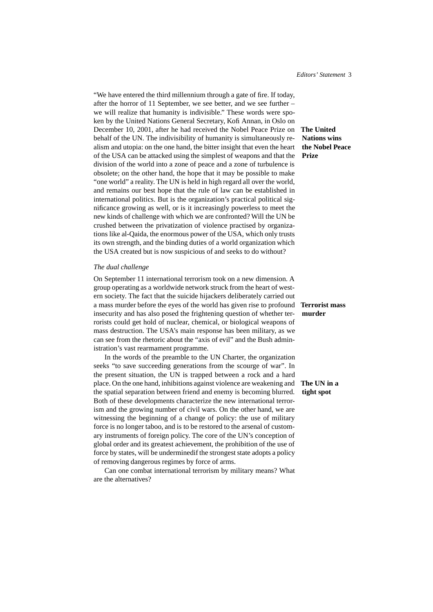"We have entered the third millennium through a gate of fire. If today, after the horror of 11 September, we see better, and we see further – we will realize that humanity is indivisible." These words were spoken by the United Nations General Secretary, Kofi Annan, in Oslo on December 10, 2001, after he had received the Nobel Peace Prize on **The United** behalf of the UN. The indivisibility of humanity is simultaneously realism and utopia: on the one hand, the bitter insight that even the heart of the USA can be attacked using the simplest of weapons and that the division of the world into a zone of peace and a zone of turbulence is obsolete; on the other hand, the hope that it may be possible to make "one world" a reality. The UN is held in high regard all over the world, and remains our best hope that the rule of law can be established in international politics. But is the organization's practical political significance growing as well, or is it increasingly powerless to meet the new kinds of challenge with which we are confronted? Will the UN be crushed between the privatization of violence practised by organizations like al-Qaida, the enormous power of the USA, which only trusts its own strength, and the binding duties of a world organization which the USA created but is now suspicious of and seeks to do without?

### *The dual challenge*

On September 11 international terrorism took on a new dimension. A group operating as a worldwide network struck from the heart of western society. The fact that the suicide hijackers deliberately carried out a mass murder before the eyes of the world has given rise to profound **Terrorist mass** insecurity and has also posed the frightening question of whether ter- **murder** rorists could get hold of nuclear, chemical, or biological weapons of mass destruction. The USA's main response has been military, as we can see from the rhetoric about the "axis of evil" and the Bush administration's vast rearmament programme.

In the words of the preamble to the UN Charter, the organization seeks "to save succeeding generations from the scourge of war". In the present situation, the UN is trapped between a rock and a hard place. On the one hand, inhibitions against violence are weakening and **The UN in a** the spatial separation between friend and enemy is becoming blurred. **tight spot** Both of these developments characterize the new international terrorism and the growing number of civil wars. On the other hand, we are witnessing the beginning of a change of policy: the use of military force is no longer taboo, and is to be restored to the arsenal of customary instruments of foreign policy. The core of the UN's conception of global order and its greatest achievement, the prohibition of the use of force by states, will be underminedif the strongest state adopts a policy of removing dangerous regimes by force of arms.

Can one combat international terrorism by military means? What are the alternatives?

## **Nations wins the Nobel Peace Prize**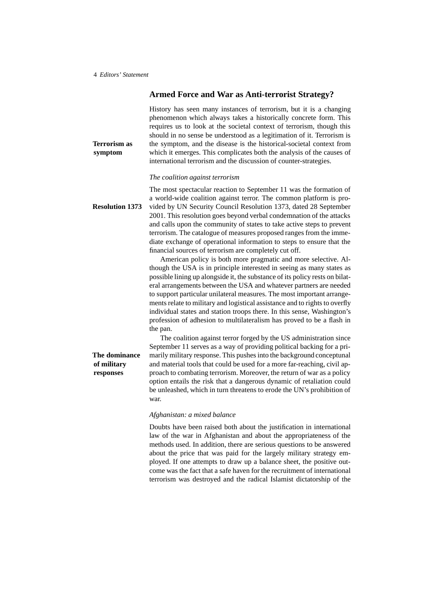**of military responses**

### **Armed Force and War as Anti-terrorist Strategy?**

History has seen many instances of terrorism, but it is a changing phenomenon which always takes a historically concrete form. This requires us to look at the societal context of terrorism, though this should in no sense be understood as a legitimation of it. Terrorism is **Terrorism as** the symptom, and the disease is the historical-societal context from **symptom** which it emerges. This complicates both the analysis of the causes of international terrorism and the discussion of counter-strategies.

#### *The coalition against terrorism*

The most spectacular reaction to September 11 was the formation of a world-wide coalition against terror. The common platform is pro-**Resolution 1373** vided by UN Security Council Resolution 1373, dated 28 September 2001. This resolution goes beyond verbal condemnation of the attacks and calls upon the community of states to take active steps to prevent terrorism. The catalogue of measures proposed ranges from the immediate exchange of operational information to steps to ensure that the financial sources of terrorism are completely cut off.

> American policy is both more pragmatic and more selective. Although the USA is in principle interested in seeing as many states as possible lining up alongside it, the substance of its policy rests on bilateral arrangements between the USA and whatever partners are needed to support particular unilateral measures. The most important arrangements relate to military and logistical assistance and to rights to overfly individual states and station troops there. In this sense, Washington's profession of adhesion to multilateralism has proved to be a flash in the pan.

The coalition against terror forged by the US administration since September 11 serves as a way of providing political backing for a pri-**The dominance** marily military response. This pushes into the background conceptunal and material tools that could be used for a more far-reaching, civil approach to combating terrorism. Moreover, the return of war as a policy option entails the risk that a dangerous dynamic of retaliation could be unleashed, which in turn threatens to erode the UN's prohibition of war.

#### *Afghanistan: a mixed balance*

Doubts have been raised both about the justification in international law of the war in Afghanistan and about the appropriateness of the methods used. In addition, there are serious questions to be answered about the price that was paid for the largely military strategy employed. If one attempts to draw up a balance sheet, the positive outcome was the fact that a safe haven for the recruitment of international terrorism was destroyed and the radical Islamist dictatorship of the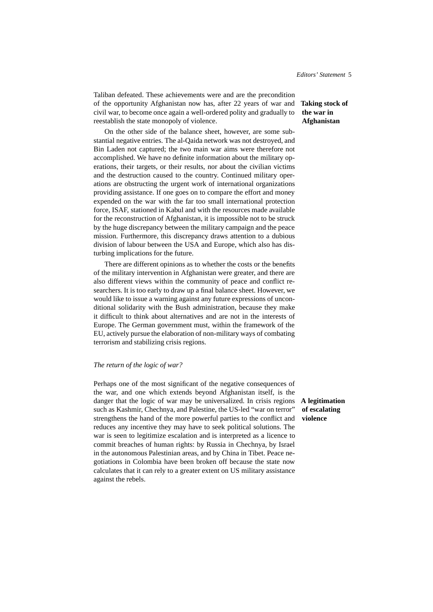Taliban defeated. These achievements were and are the precondition of the opportunity Afghanistan now has, after 22 years of war and **Taking stock of** civil war, to become once again a well-ordered polity and gradually to reestablish the state monopoly of violence.

On the other side of the balance sheet, however, are some substantial negative entries. The al-Qaida network was not destroyed, and Bin Laden not captured; the two main war aims were therefore not accomplished. We have no definite information about the military operations, their targets, or their results, nor about the civilian victims and the destruction caused to the country. Continued military operations are obstructing the urgent work of international organizations providing assistance. If one goes on to compare the effort and money expended on the war with the far too small international protection force, ISAF, stationed in Kabul and with the resources made available for the reconstruction of Afghanistan, it is impossible not to be struck by the huge discrepancy between the military campaign and the peace mission. Furthermore, this discrepancy draws attention to a dubious division of labour between the USA and Europe, which also has disturbing implications for the future.

There are different opinions as to whether the costs or the benefits of the military intervention in Afghanistan were greater, and there are also different views within the community of peace and conflict researchers. It is too early to draw up a final balance sheet. However, we would like to issue a warning against any future expressions of unconditional solidarity with the Bush administration, because they make it difficult to think about alternatives and are not in the interests of Europe. The German government must, within the framework of the EU, actively pursue the elaboration of non-military ways of combating terrorism and stabilizing crisis regions.

#### *The return of the logic of war?*

Perhaps one of the most significant of the negative consequences of the war, and one which extends beyond Afghanistan itself, is the danger that the logic of war may be universalized. In crisis regions **A legitimation** such as Kashmir, Chechnya, and Palestine, the US-led "war on terror" strengthens the hand of the more powerful parties to the conflict and reduces any incentive they may have to seek political solutions. The war is seen to legitimize escalation and is interpreted as a licence to commit breaches of human rights: by Russia in Chechnya, by Israel in the autonomous Palestinian areas, and by China in Tibet. Peace negotiations in Colombia have been broken off because the state now calculates that it can rely to a greater extent on US military assistance against the rebels.

# **the war in Afghanistan**

**of escalating violence**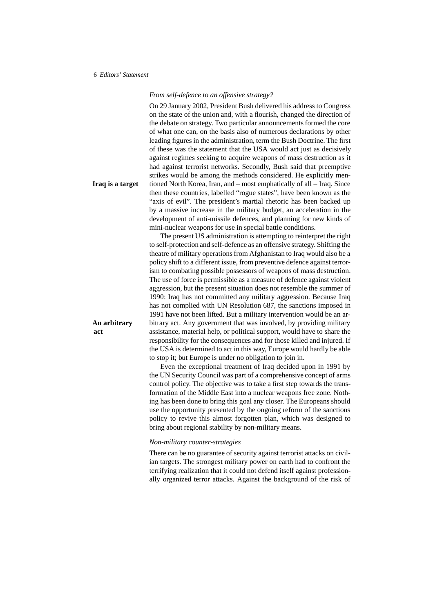*From self-defence to an offensive strategy?*

On 29 January 2002, President Bush delivered his address to Congress on the state of the union and, with a flourish, changed the direction of the debate on strategy. Two particular announcements formed the core of what one can, on the basis also of numerous declarations by other leading figures in the administration, term the Bush Doctrine. The first of these was the statement that the USA would act just as decisively against regimes seeking to acquire weapons of mass destruction as it had against terrorist networks. Secondly, Bush said that preemptive strikes would be among the methods considered. He explicitly men-**Iraq is a target** tioned North Korea, Iran, and – most emphatically of all – Iraq. Since then these countries, labelled "rogue states", have been known as the "axis of evil". The president's martial rhetoric has been backed up by a massive increase in the military budget, an acceleration in the development of anti-missile defences, and planning for new kinds of mini-nuclear weapons for use in special battle conditions.

The present US administration is attempting to reinterpret the right to self-protection and self-defence as an offensive strategy. Shifting the theatre of military operations from Afghanistan to Iraq would also be a policy shift to a different issue, from preventive defence against terrorism to combating possible possessors of weapons of mass destruction. The use of force is permissible as a measure of defence against violent aggression, but the present situation does not resemble the summer of 1990: Iraq has not committed any military aggression. Because Iraq has not complied with UN Resolution 687, the sanctions imposed in 1991 have not been lifted. But a military intervention would be an ar-**An arbitrary** bitrary act. Any government that was involved, by providing military **act** assistance, material help, or political support, would have to share the responsibility for the consequences and for those killed and injured. If the USA is determined to act in this way, Europe would hardly be able to stop it; but Europe is under no obligation to join in.

> Even the exceptional treatment of Iraq decided upon in 1991 by the UN Security Council was part of a comprehensive concept of arms control policy. The objective was to take a first step towards the transformation of the Middle East into a nuclear weapons free zone. Nothing has been done to bring this goal any closer. The Europeans should use the opportunity presented by the ongoing reform of the sanctions policy to revive this almost forgotten plan, which was designed to bring about regional stability by non-military means.

#### *Non-military counter-strategies*

There can be no guarantee of security against terrorist attacks on civilian targets. The strongest military power on earth had to confront the terrifying realization that it could not defend itself against professionally organized terror attacks. Against the background of the risk of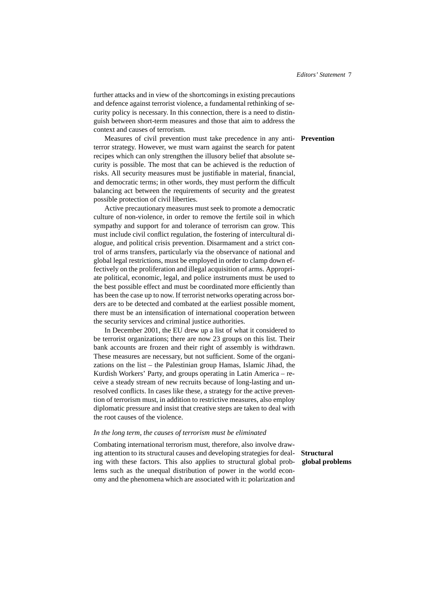further attacks and in view of the shortcomings in existing precautions and defence against terrorist violence, a fundamental rethinking of security policy is necessary. In this connection, there is a need to distinguish between short-term measures and those that aim to address the context and causes of terrorism.

Measures of civil prevention must take precedence in any anti- **Prevention** terror strategy. However, we must warn against the search for patent recipes which can only strengthen the illusory belief that absolute security is possible. The most that can be achieved is the reduction of risks. All security measures must be justifiable in material, financial, and democratic terms; in other words, they must perform the difficult balancing act between the requirements of security and the greatest possible protection of civil liberties.

Active precautionary measures must seek to promote a democratic culture of non-violence, in order to remove the fertile soil in which sympathy and support for and tolerance of terrorism can grow. This must include civil conflict regulation, the fostering of intercultural dialogue, and political crisis prevention. Disarmament and a strict control of arms transfers, particularly via the observance of national and global legal restrictions, must be employed in order to clamp down effectively on the proliferation and illegal acquisition of arms. Appropriate political, economic, legal, and police instruments must be used to the best possible effect and must be coordinated more efficiently than has been the case up to now. If terrorist networks operating across borders are to be detected and combated at the earliest possible moment, there must be an intensification of international cooperation between the security services and criminal justice authorities.

In December 2001, the EU drew up a list of what it considered to be terrorist organizations; there are now 23 groups on this list. Their bank accounts are frozen and their right of assembly is withdrawn. These measures are necessary, but not sufficient. Some of the organizations on the list – the Palestinian group Hamas, Islamic Jihad, the Kurdish Workers' Party, and groups operating in Latin America – receive a steady stream of new recruits because of long-lasting and unresolved conflicts. In cases like these, a strategy for the active prevention of terrorism must, in addition to restrictive measures, also employ diplomatic pressure and insist that creative steps are taken to deal with the root causes of the violence.

#### *In the long term, the causes of terrorism must be eliminated*

Combating international terrorism must, therefore, also involve drawing attention to its structural causes and developing strategies for deal- **Structural** ing with these factors. This also applies to structural global prob- **global problems** lems such as the unequal distribution of power in the world economy and the phenomena which are associated with it: polarization and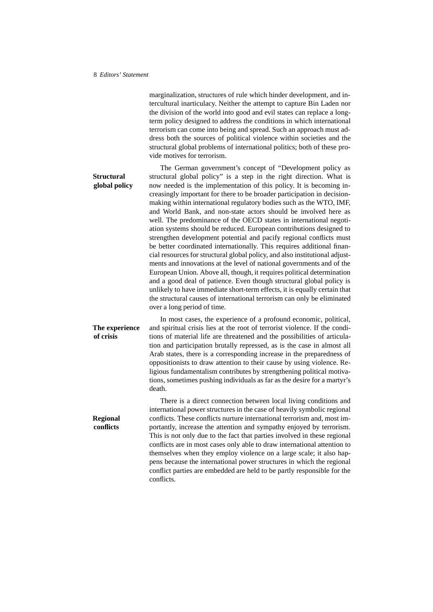marginalization, structures of rule which hinder development, and intercultural inarticulacy. Neither the attempt to capture Bin Laden nor the division of the world into good and evil states can replace a longterm policy designed to address the conditions in which international terrorism can come into being and spread. Such an approach must address both the sources of political violence within societies and the structural global problems of international politics; both of these provide motives for terrorism.

The German government's concept of "Development policy as **Structural** structural global policy" is a step in the right direction. What is **global policy** now needed is the implementation of this policy. It is becoming increasingly important for there to be broader participation in decisionmaking within international regulatory bodies such as the WTO, IMF, and World Bank, and non-state actors should be involved here as well. The predominance of the OECD states in international negotiation systems should be reduced. European contributions designed to strengthen development potential and pacify regional conflicts must be better coordinated internationally. This requires additional financial resources for structural global policy, and also institutional adjustments and innovations at the level of national governments and of the European Union. Above all, though, it requires political determination and a good deal of patience. Even though structural global policy is unlikely to have immediate short-term effects, it is equally certain that the structural causes of international terrorism can only be eliminated over a long period of time.

In most cases, the experience of a profound economic, political, **The experience** and spiritual crisis lies at the root of terrorist violence. If the condi**of crisis** tions of material life are threatened and the possibilities of articulation and participation brutally repressed, as is the case in almost all Arab states, there is a corresponding increase in the preparedness of oppositionists to draw attention to their cause by using violence. Religious fundamentalism contributes by strengthening political motivations, sometimes pushing individuals as far as the desire for a martyr's death.

There is a direct connection between local living conditions and international power structures in the case of heavily symbolic regional **Regional** conflicts. These conflicts nurture international terrorism and, most im**conflicts** portantly, increase the attention and sympathy enjoyed by terrorism. This is not only due to the fact that parties involved in these regional conflicts are in most cases only able to draw international attention to themselves when they employ violence on a large scale; it also happens because the international power structures in which the regional conflict parties are embedded are held to be partly responsible for the conflicts.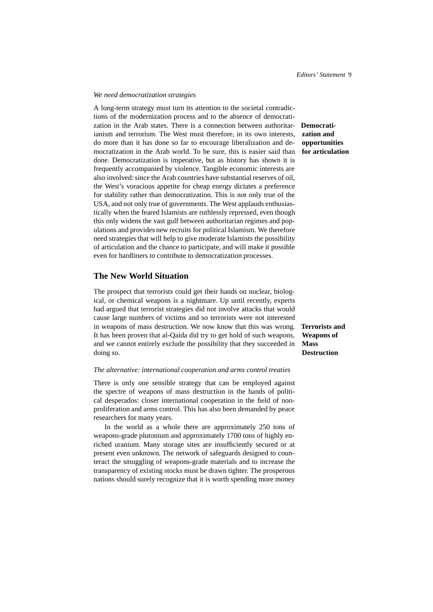#### *We need democratization strategies*

A long-term strategy must turn its attention to the societal contradictions of the modernization process and to the absence of democratization in the Arab states. There is a connection between authoritar- **Democrati**ianism and terrorism. The West must therefore, in its own interests, do more than it has done so far to encourage liberalization and democratization in the Arab world. To be sure, this is easier said than done. Democratization is imperative, but as history has shown it is frequently accompanied by violence. Tangible economic interests are also involved: since the Arab countries have substantial reserves of oil, the West's voracious appetite for cheap energy dictates a preference for stability rather than democratization. This is not only true of the USA, and not only true of governments. The West applauds enthusiastically when the feared Islamists are ruthlessly repressed, even though this only widens the vast gulf between authoritarian regimes and populations and provides new recruits for political Islamism. We therefore need strategies that will help to give moderate Islamists the possibility of articulation and the chance to participate, and will make it possible even for hardliners to contribute to democratization processes.

### **The New World Situation**

The prospect that terrorists could get their hands on nuclear, biological, or chemical weapons is a nightmare. Up until recently, experts had argued that terrorist strategies did not involve attacks that would cause large numbers of victims and so terrorists were not interested in weapons of mass destruction. We now know that this was wrong. **Terrorists and** It has been proven that al-Qaida did try to get hold of such weapons, and we cannot entirely exclude the possibility that they succeeded in doing so.

#### *The alternative: international cooperation and arms control treaties*

There is only one sensible strategy that can be employed against the spectre of weapons of mass destruction in the hands of political desperados: closer international cooperation in the field of nonproliferation and arms control. This has also been demanded by peace researchers for many years.

In the world as a whole there are approximately 250 tons of weapons-grade plutonium and approximately 1700 tons of highly enriched uranium. Many storage sites are insufficiently secured or at present even unknown. The network of safeguards designed to counteract the smuggling of weapons-grade materials and to increase the transparency of existing stocks must be drawn tighter. The prosperous nations should surely recognize that it is worth spending more money

**zation and opportunities for articulation**

**Weapons of Mass Destruction**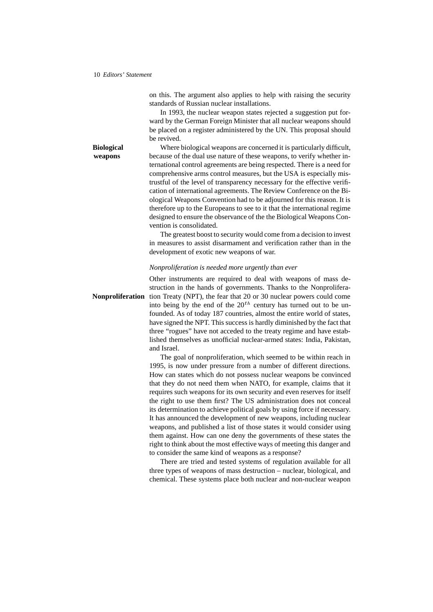on this. The argument also applies to help with raising the security standards of Russian nuclear installations.

In 1993, the nuclear weapon states rejected a suggestion put forward by the German Foreign Minister that all nuclear weapons should be placed on a register administered by the UN. This proposal should be revived.

**Biological** Where biological weapons are concerned it is particularly difficult, **weapons** because of the dual use nature of these weapons, to verify whether international control agreements are being respected. There is a need for comprehensive arms control measures, but the USA is especially mistrustful of the level of transparency necessary for the effective verification of international agreements. The Review Conference on the Biological Weapons Convention had to be adjourned for this reason. It is therefore up to the Europeans to see to it that the international regime designed to ensure the observance of the the Biological Weapons Convention is consolidated.

> The greatest boost to security would come from a decision to invest in measures to assist disarmament and verification rather than in the development of exotic new weapons of war.

#### *Nonproliferation is needed more urgently than ever*

Other instruments are required to deal with weapons of mass destruction in the hands of governments. Thanks to the Nonprolifera-**Nonproliferation** tion Treaty (NPT), the fear that 20 or 30 nuclear powers could come into being by the end of the  $20<sup>th</sup>$  century has turned out to be unfounded. As of today 187 countries, almost the entire world of states, have signed the NPT. This success is hardly diminished by the fact that three "rogues" have not acceded to the treaty regime and have established themselves as unofficial nuclear-armed states: India, Pakistan, and Israel.

> The goal of nonproliferation, which seemed to be within reach in 1995, is now under pressure from a number of different directions. How can states which do not possess nuclear weapons be convinced that they do not need them when NATO, for example, claims that it requires such weapons for its own security and even reserves for itself the right to use them first? The US administration does not conceal its determination to achieve political goals by using force if necessary. It has announced the development of new weapons, including nuclear weapons, and published a list of those states it would consider using them against. How can one deny the governments of these states the right to think about the most effective ways of meeting this danger and to consider the same kind of weapons as a response?

> There are tried and tested systems of regulation available for all three types of weapons of mass destruction – nuclear, biological, and chemical. These systems place both nuclear and non-nuclear weapon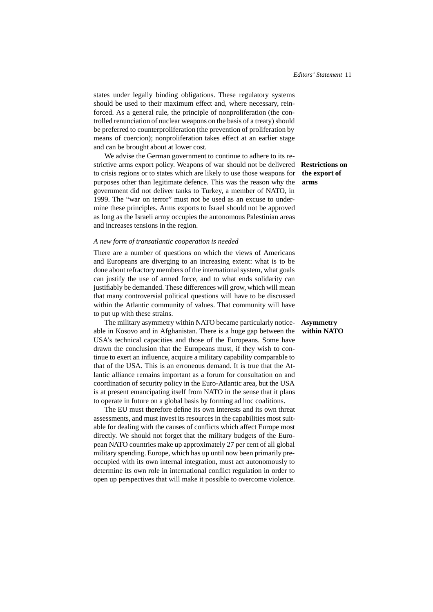states under legally binding obligations. These regulatory systems should be used to their maximum effect and, where necessary, reinforced. As a general rule, the principle of nonproliferation (the controlled renunciation of nuclear weapons on the basis of a treaty) should be preferred to counterproliferation (the prevention of proliferation by means of coercion); nonproliferation takes effect at an earlier stage and can be brought about at lower cost.

We advise the German government to continue to adhere to its restrictive arms export policy. Weapons of war should not be delivered **Restrictions on** to crisis regions or to states which are likely to use those weapons for purposes other than legitimate defence. This was the reason why the government did not deliver tanks to Turkey, a member of NATO, in 1999. The "war on terror" must not be used as an excuse to undermine these principles. Arms exports to Israel should not be approved as long as the Israeli army occupies the autonomous Palestinian areas and increases tensions in the region.

#### *A new form of transatlantic cooperation is needed*

There are a number of questions on which the views of Americans and Europeans are diverging to an increasing extent: what is to be done about refractory members of the international system, what goals can justify the use of armed force, and to what ends solidarity can justifiably be demanded. These differences will grow, which will mean that many controversial political questions will have to be discussed within the Atlantic community of values. That community will have to put up with these strains.

The military asymmetry within NATO became particularly notice- **Asymmetry** able in Kosovo and in Afghanistan. There is a huge gap between the **within NATO** USA's technical capacities and those of the Europeans. Some have drawn the conclusion that the Europeans must, if they wish to continue to exert an influence, acquire a military capability comparable to that of the USA. This is an erroneous demand. It is true that the Atlantic alliance remains important as a forum for consultation on and coordination of security policy in the Euro-Atlantic area, but the USA is at present emancipating itself from NATO in the sense that it plans to operate in future on a global basis by forming ad hoc coalitions.

The EU must therefore define its own interests and its own threat assessments, and must invest its resources in the capabilities most suitable for dealing with the causes of conflicts which affect Europe most directly. We should not forget that the military budgets of the European NATO countries make up approximately 27 per cent of all global military spending. Europe, which has up until now been primarily preoccupied with its own internal integration, must act autonomously to determine its own role in international conflict regulation in order to open up perspectives that will make it possible to overcome violence.

**the export of arms**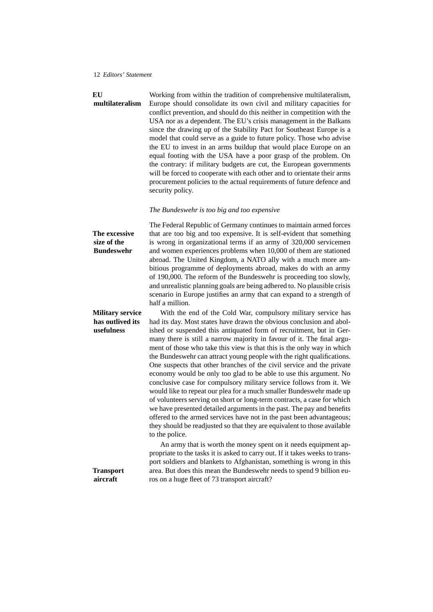**EU** Working from within the tradition of comprehensive multilateralism, **multilateralism** Europe should consolidate its own civil and military capacities for conflict prevention, and should do this neither in competition with the USA nor as a dependent. The EU's crisis management in the Balkans since the drawing up of the Stability Pact for Southeast Europe is a model that could serve as a guide to future policy. Those who advise the EU to invest in an arms buildup that would place Europe on an equal footing with the USA have a poor grasp of the problem. On the contrary: if military budgets are cut, the European governments will be forced to cooperate with each other and to orientate their arms procurement policies to the actual requirements of future defence and security policy.

#### *The Bundeswehr is too big and too expensive*

The Federal Republic of Germany continues to maintain armed forces **The excessive** that are too big and too expensive. It is self-evident that something **size of the Bundeswehr** is wrong in organizational terms if an army of 320,000 servicemen and women experiences problems when 10,000 of them are stationed abroad. The United Kingdom, a NATO ally with a much more ambitious programme of deployments abroad, makes do with an army of 190,000. The reform of the Bundeswehr is proceeding too slowly, and unrealistic planning goals are being adhered to. No plausible crisis scenario in Europe justifies an army that can expand to a strength of half a million.

**Military service** With the end of the Cold War, compulsory military service has **has outlived its** had its day. Most states have drawn the obvious conclusion and abolished or suspended this antiquated form of recruitment, but in Germany there is still a narrow majority in favour of it. The final argument of those who take this view is that this is the only way in which the Bundeswehr can attract young people with the right qualifications. One suspects that other branches of the civil service and the private economy would be only too glad to be able to use this argument. No conclusive case for compulsory military service follows from it. We would like to repeat our plea for a much smaller Bundeswehr made up of volunteers serving on short or long-term contracts, a case for which we have presented detailed arguments in the past. The pay and benefits offered to the armed services have not in the past been advantageous; they should be readjusted so that they are equivalent to those available to the police.

An army that is worth the money spent on it needs equipment appropriate to the tasks it is asked to carry out. If it takes weeks to transport soldiers and blankets to Afghanistan, something is wrong in this **Transport** area. But does this mean the Bundeswehr needs to spend 9 billion eu**aircraft** ros on a huge fleet of 73 transport aircraft?

**usefulness**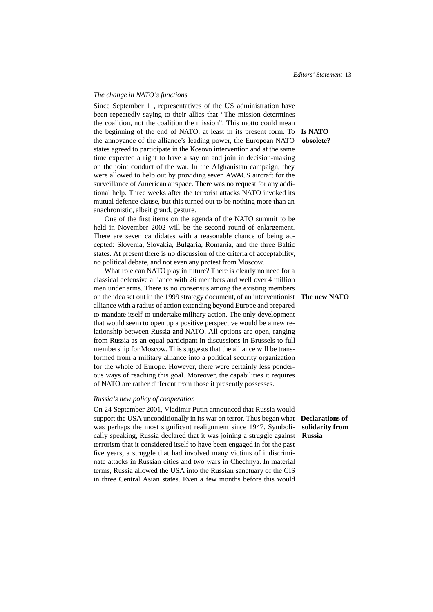#### *The change in NATO's functions*

Since September 11, representatives of the US administration have been repeatedly saying to their allies that "The mission determines the coalition, not the coalition the mission". This motto could mean the beginning of the end of NATO, at least in its present form. To **Is NATO** the annoyance of the alliance's leading power, the European NATO **obsolete?** states agreed to participate in the Kosovo intervention and at the same time expected a right to have a say on and join in decision-making on the joint conduct of the war. In the Afghanistan campaign, they were allowed to help out by providing seven AWACS aircraft for the surveillance of American airspace. There was no request for any additional help. Three weeks after the terrorist attacks NATO invoked its mutual defence clause, but this turned out to be nothing more than an anachronistic, albeit grand, gesture.

One of the first items on the agenda of the NATO summit to be held in November 2002 will be the second round of enlargement. There are seven candidates with a reasonable chance of being accepted: Slovenia, Slovakia, Bulgaria, Romania, and the three Baltic states. At present there is no discussion of the criteria of acceptability, no political debate, and not even any protest from Moscow.

What role can NATO play in future? There is clearly no need for a classical defensive alliance with 26 members and well over 4 million men under arms. There is no consensus among the existing members on the idea set out in the 1999 strategy document, of an interventionist **The new NATO** alliance with a radius of action extending beyond Europe and prepared to mandate itself to undertake military action. The only development that would seem to open up a positive perspective would be a new relationship between Russia and NATO. All options are open, ranging from Russia as an equal participant in discussions in Brussels to full membership for Moscow. This suggests that the alliance will be transformed from a military alliance into a political security organization for the whole of Europe. However, there were certainly less ponderous ways of reaching this goal. Moreover, the capabilities it requires of NATO are rather different from those it presently possesses.

#### *Russia's new policy of cooperation*

On 24 September 2001, Vladimir Putin announced that Russia would support the USA unconditionally in its war on terror. Thus began what **Declarations of** was perhaps the most significant realignment since 1947. Symbolically speaking, Russia declared that it was joining a struggle against terrorism that it considered itself to have been engaged in for the past five years, a struggle that had involved many victims of indiscriminate attacks in Russian cities and two wars in Chechnya. In material terms, Russia allowed the USA into the Russian sanctuary of the CIS in three Central Asian states. Even a few months before this would

**solidarity from Russia**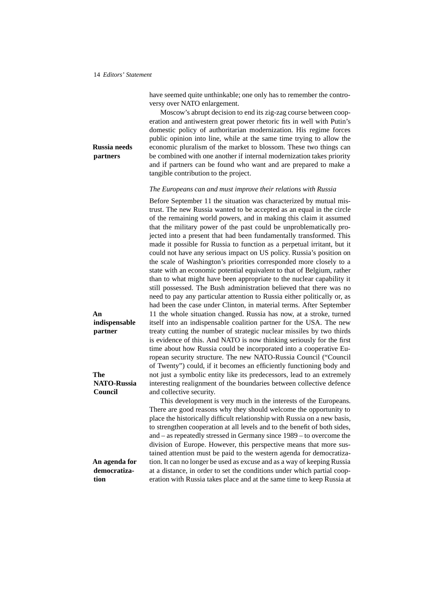have seemed quite unthinkable; one only has to remember the controversy over NATO enlargement.

Moscow's abrupt decision to end its zig-zag course between cooperation and antiwestern great power rhetoric fits in well with Putin's domestic policy of authoritarian modernization. His regime forces public opinion into line, while at the same time trying to allow the **Russia needs** economic pluralism of the market to blossom. These two things can **partners** be combined with one another if internal modernization takes priority and if partners can be found who want and are prepared to make a tangible contribution to the project.

*The Europeans can and must improve their relations with Russia*

Before September 11 the situation was characterized by mutual mistrust. The new Russia wanted to be accepted as an equal in the circle of the remaining world powers, and in making this claim it assumed that the military power of the past could be unproblematically projected into a present that had been fundamentally transformed. This made it possible for Russia to function as a perpetual irritant, but it could not have any serious impact on US policy. Russia's position on the scale of Washington's priorities corresponded more closely to a state with an economic potential equivalent to that of Belgium, rather than to what might have been appropriate to the nuclear capability it still possessed. The Bush administration believed that there was no need to pay any particular attention to Russia either politically or, as had been the case under Clinton, in material terms. After September **An** 11 the whole situation changed. Russia has now, at a stroke, turned itself into an indispensable coalition partner for the USA. The new treaty cutting the number of strategic nuclear missiles by two thirds is evidence of this. And NATO is now thinking seriously for the first time about how Russia could be incorporated into a cooperative European security structure. The new NATO-Russia Council ("Council of Twenty") could, if it becomes an efficiently functioning body and **The** not just a symbolic entity like its predecessors, lead to an extremely interesting realignment of the boundaries between collective defence and collective security.

This development is very much in the interests of the Europeans. There are good reasons why they should welcome the opportunity to place the historically difficult relationship with Russia on a new basis, to strengthen cooperation at all levels and to the benefit of both sides, and – as repeatedly stressed in Germany since 1989 – to overcome the division of Europe. However, this perspective means that more sustained attention must be paid to the western agenda for democratiza-An agenda for tion. It can no longer be used as excuse and as a way of keeping Russia at a distance, in order to set the conditions under which partial cooperation with Russia takes place and at the same time to keep Russia at

**indispensable partner**

**NATO-Russia Council**

**democratization**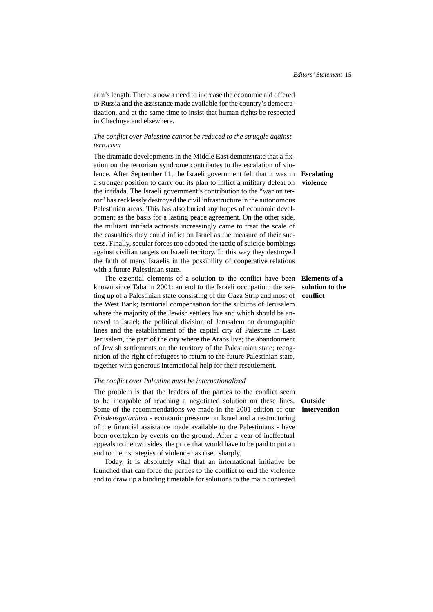arm's length. There is now a need to increase the economic aid offered to Russia and the assistance made available for the country's democratization, and at the same time to insist that human rights be respected in Chechnya and elsewhere.

### *The conflict over Palestine cannot be reduced to the struggle against terrorism*

The dramatic developments in the Middle East demonstrate that a fixation on the terrorism syndrome contributes to the escalation of violence. After September 11, the Israeli government felt that it was in **Escalating** a stronger position to carry out its plan to inflict a military defeat on **violence** the intifada. The Israeli government's contribution to the "war on terror" has recklessly destroyed the civil infrastructure in the autonomous Palestinian areas. This has also buried any hopes of economic development as the basis for a lasting peace agreement. On the other side, the militant intifada activists increasingly came to treat the scale of the casualties they could inflict on Israel as the measure of their success. Finally, secular forces too adopted the tactic of suicide bombings against civilian targets on Israeli territory. In this way they destroyed the faith of many Israelis in the possibility of cooperative relations with a future Palestinian state.

The essential elements of a solution to the conflict have been **Elements of a** known since Taba in 2001: an end to the Israeli occupation; the setting up of a Palestinian state consisting of the Gaza Strip and most of the West Bank; territorial compensation for the suburbs of Jerusalem where the majority of the Jewish settlers live and which should be annexed to Israel; the political division of Jerusalem on demographic lines and the establishment of the capital city of Palestine in East Jerusalem, the part of the city where the Arabs live; the abandonment of Jewish settlements on the territory of the Palestinian state; recognition of the right of refugees to return to the future Palestinian state, together with generous international help for their resettlement.

### *The conflict over Palestine must be internationalized*

The problem is that the leaders of the parties to the conflict seem to be incapable of reaching a negotiated solution on these lines. **Outside** Some of the recommendations we made in the 2001 edition of our **intervention** *Friedensgutachten* - economic pressure on Israel and a restructuring of the financial assistance made available to the Palestinians - have been overtaken by events on the ground. After a year of ineffectual appeals to the two sides, the price that would have to be paid to put an end to their strategies of violence has risen sharply.

Today, it is absolutely vital that an international initiative be launched that can force the parties to the conflict to end the violence and to draw up a binding timetable for solutions to the main contested

# **solution to the conflict**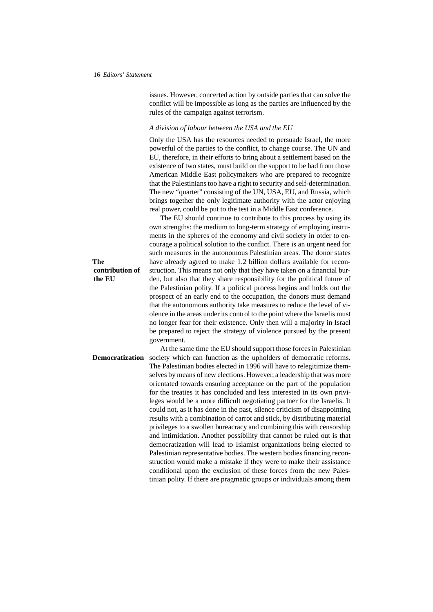issues. However, concerted action by outside parties that can solve the conflict will be impossible as long as the parties are influenced by the rules of the campaign against terrorism.

#### *A division of labour between the USA and the EU*

Only the USA has the resources needed to persuade Israel, the more powerful of the parties to the conflict, to change course. The UN and EU, therefore, in their efforts to bring about a settlement based on the existence of two states, must build on the support to be had from those American Middle East policymakers who are prepared to recognize that the Palestinians too have a right to security and self-determination. The new "quartet" consisting of the UN, USA, EU, and Russia, which brings together the only legitimate authority with the actor enjoying real power, could be put to the test in a Middle East conference.

The EU should continue to contribute to this process by using its own strengths: the medium to long-term strategy of employing instruments in the spheres of the economy and civil society in otder to encourage a political solution to the conflict. There is an urgent need for such measures in the autonomous Palestinian areas. The donor states **The** have already agreed to make 1.2 billion dollars available for reconstruction. This means not only that they have taken on a financial burden, but also that they share responsibility for the political future of the Palestinian polity. If a political process begins and holds out the prospect of an early end to the occupation, the donors must demand that the autonomous authority take measures to reduce the level of violence in the areas under its control to the point where the Israelis must no longer fear for their existence. Only then will a majority in Israel be prepared to reject the strategy of violence pursued by the present government.

At the same time the EU should support those forces in Palestinian **Democratization** society which can function as the upholders of democratic reforms. The Palestinian bodies elected in 1996 will have to relegitimize themselves by means of new elections. However, a leadership that was more orientated towards ensuring acceptance on the part of the population for the treaties it has concluded and less interested in its own privileges would be a more difficult negotiating partner for the Israelis. It could not, as it has done in the past, silence criticism of disappointing results with a combination of carrot and stick, by distributing material privileges to a swollen bureacracy and combining this with censorship and intimidation. Another possibility that cannot be ruled out is that democratization will lead to Islamist organizations being elected to Palestinian representative bodies. The western bodies financing reconstruction would make a mistake if they were to make their assistance conditional upon the exclusion of these forces from the new Palestinian polity. If there are pragmatic groups or individuals among them

**contribution of the EU**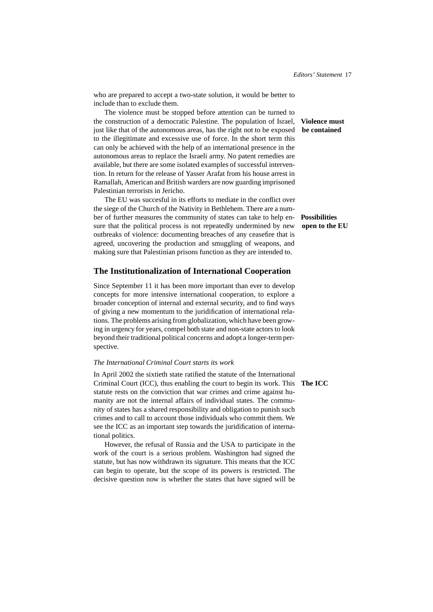who are prepared to accept a two-state solution, it would be better to include than to exclude them.

The violence must be stopped before attention can be turned to the construction of a democratic Palestine. The population of Israel, **Violence must** just like that of the autonomous areas, has the right not to be exposed **be contained** to the illegitimate and excessive use of force. In the short term this can only be achieved with the help of an international presence in the autonomous areas to replace the Israeli army. No patent remedies are available, but there are some isolated examples of successful intervention. In return for the release of Yasser Arafat from his house arrest in Ramallah, American and British warders are now guarding imprisoned Palestinian terrorists in Jericho.

The EU was succesful in its efforts to mediate in the conflict over the siege of the Church of the Nativity in Bethlehem. There are a number of further measures the community of states can take to help en- **Possibilities** sure that the political process is not repeatedly undermined by new **open to the EU** outbreaks of violence: documenting breaches of any ceasefire that is agreed, uncovering the production and smuggling of weapons, and making sure that Palestinian prisons function as they are intended to.

### **The Institutionalization of International Cooperation**

Since September 11 it has been more important than ever to develop concepts for more intensive international cooperation, to explore a broader conception of internal and external security, and to find ways of giving a new momentum to the juridification of international relations. The problems arising from globalization, which have been growing in urgency for years, compel both state and non-state actors to look beyond their traditional political concerns and adopt a longer-term perspective.

#### *The International Criminal Court starts its work*

In April 2002 the sixtieth state ratified the statute of the International Criminal Court (ICC), thus enabling the court to begin its work. This **The ICC** statute rests on the conviction that war crimes and crime against humanity are not the internal affairs of individual states. The community of states has a shared responsibility and obligation to punish such crimes and to call to account those individuals who commit them. We see the ICC as an important step towards the juridification of international politics.

However, the refusal of Russia and the USA to participate in the work of the court is a serious problem. Washington had signed the statute, but has now withdrawn its signature. This means that the ICC can begin to operate, but the scope of its powers is restricted. The decisive question now is whether the states that have signed will be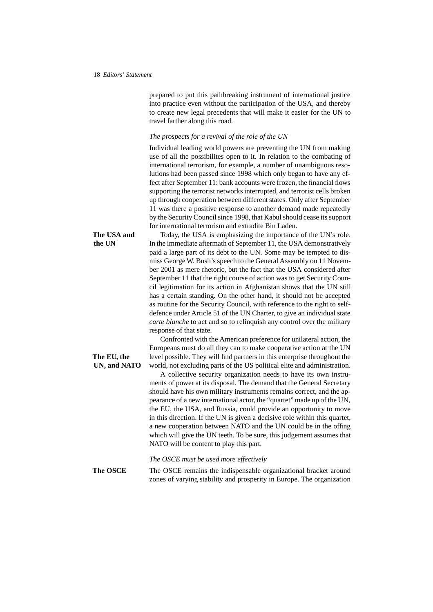prepared to put this pathbreaking instrument of international justice into practice even without the participation of the USA, and thereby to create new legal precedents that will make it easier for the UN to travel farther along this road.

#### *The prospects for a revival of the role of the UN*

Individual leading world powers are preventing the UN from making use of all the possibilites open to it. In relation to the combating of international terrorism, for example, a number of unambiguous resolutions had been passed since 1998 which only began to have any effect after September 11: bank accounts were frozen, the financial flows supporting the terrorist networks interrupted, and terrorist cells broken up through cooperation between different states. Only after September 11 was there a positive response to another demand made repeatedly by the Security Council since 1998, that Kabul should cease its support for international terrorism and extradite Bin Laden.

**The USA and** Today, the USA is emphasizing the importance of the UN's role. **the UN** In the immediate aftermath of September 11, the USA demonstratively paid a large part of its debt to the UN. Some may be tempted to dismiss George W. Bush's speech to the General Assembly on 11 November 2001 as mere rhetoric, but the fact that the USA considered after September 11 that the right course of action was to get Security Council legitimation for its action in Afghanistan shows that the UN still has a certain standing. On the other hand, it should not be accepted as routine for the Security Council, with reference to the right to selfdefence under Article 51 of the UN Charter, to give an individual state *carte blanche* to act and so to relinquish any control over the military response of that state.

Confronted with the American preference for unilateral action, the Europeans must do all they can to make cooperative action at the UN **The EU, the** level possible. They will find partners in this enterprise throughout the **UN, and NATO** world, not excluding parts of the US political elite and administration.

> A collective security organization needs to have its own instruments of power at its disposal. The demand that the General Secretary should have his own military instruments remains correct, and the appearance of a new international actor, the "quartet" made up of the UN, the EU, the USA, and Russia, could provide an opportunity to move in this direction. If the UN is given a decisive role within this quartet, a new cooperation between NATO and the UN could be in the offing which will give the UN teeth. To be sure, this judgement assumes that NATO will be content to play this part.

*The OSCE must be used more effectively*

**The OSCE** The OSCE remains the indispensable organizational bracket around zones of varying stability and prosperity in Europe. The organization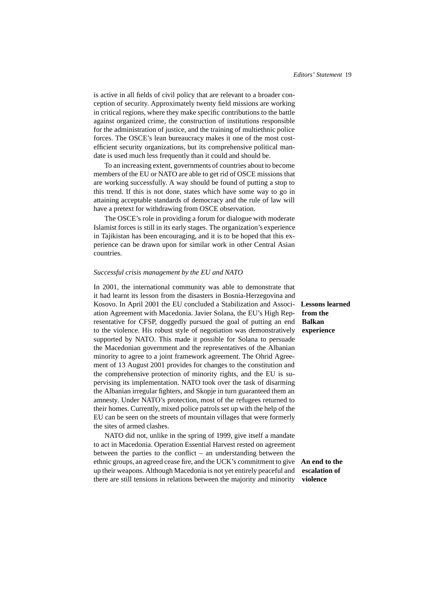is active in all fields of civil policy that are relevant to a broader conception of security. Approximately twenty field missions are working in critical regions, where they make specific contributions to the battle against organized crime, the construction of institutions responsible for the administration of justice, and the training of multiethnic police forces. The OSCE's lean bureaucracy makes it one of the most costefficient security organizations, but its comprehensive political mandate is used much less frequently than it could and should be.

To an increasing extent, governments of countries about to become members of the EU or NATO are able to get rid of OSCE missions that are working successfully. A way should be found of putting a stop to this trend. If this is not done, states which have some way to go in attaining acceptable standards of democracy and the rule of law will have a pretext for withdrawing from OSCE observation.

The OSCE's role in providing a forum for dialogue with moderate Islamist forces is still in its early stages. The organization's experience in Tajikistan has been encouraging, and it is to be hoped that this experience can be drawn upon for similar work in other Central Asian countries.

#### *Successful crisis management by the EU and NATO*

In 2001, the international community was able to demonstrate that it had learnt its lesson from the disasters in Bosnia-Herzegovina and Kosovo. In April 2001 the EU concluded a Stabilization and Associ- **Lessons learned** ation Agreement with Macedonia. Javier Solana, the EU's High Representative for CFSP, doggedly pursued the goal of putting an end to the violence. His robust style of negotiation was demonstratively supported by NATO. This made it possible for Solana to persuade the Macedonian government and the representatives of the Albanian minority to agree to a joint framework agreement. The Ohrid Agreement of 13 August 2001 provides for changes to the constitution and the comprehensive protection of minority rights, and the EU is supervising its implementation. NATO took over the task of disarming the Albanian irregular fighters, and Skopje in turn guaranteed them an amnesty. Under NATO's protection, most of the refugees returned to their homes. Currently, mixed police patrols set up with the help of the EU can be seen on the streets of mountain villages that were formerly the sites of armed clashes.

NATO did not, unlike in the spring of 1999, give itself a mandate to act in Macedonia. Operation Essential Harvest rested on agreement between the parties to the conflict – an understanding between the ethnic groups, an agreed cease fire, and the UCK's commitment to give **An end to the** up their weapons. Although Macedonia is not yet entirely peaceful and there are still tensions in relations between the majority and minority

**from the Balkan experience**

**escalation of violence**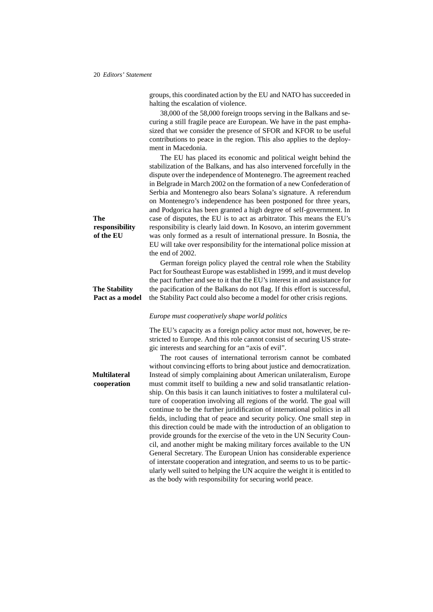|                                    | groups, this coordinated action by the EU and NATO has succeeded in<br>halting the escalation of violence.                                                                                                                                                                                                                                                                                                                                                                                                                                                                                                                                                                                                                                                                                                                                                                                                                                                                         |
|------------------------------------|------------------------------------------------------------------------------------------------------------------------------------------------------------------------------------------------------------------------------------------------------------------------------------------------------------------------------------------------------------------------------------------------------------------------------------------------------------------------------------------------------------------------------------------------------------------------------------------------------------------------------------------------------------------------------------------------------------------------------------------------------------------------------------------------------------------------------------------------------------------------------------------------------------------------------------------------------------------------------------|
|                                    | 38,000 of the 58,000 foreign troops serving in the Balkans and se-<br>curing a still fragile peace are European. We have in the past empha-<br>sized that we consider the presence of SFOR and KFOR to be useful<br>contributions to peace in the region. This also applies to the deploy-<br>ment in Macedonia.                                                                                                                                                                                                                                                                                                                                                                                                                                                                                                                                                                                                                                                                   |
| The<br>responsibility<br>of the EU | The EU has placed its economic and political weight behind the<br>stabilization of the Balkans, and has also intervened forcefully in the<br>dispute over the independence of Montenegro. The agreement reached<br>in Belgrade in March 2002 on the formation of a new Confederation of<br>Serbia and Montenegro also bears Solana's signature. A referendum<br>on Montenegro's independence has been postponed for three years,<br>and Podgorica has been granted a high degree of self-government. In<br>case of disputes, the EU is to act as arbitrator. This means the EU's<br>responsibility is clearly laid down. In Kosovo, an interim government<br>was only formed as a result of international pressure. In Bosnia, the<br>EU will take over responsibility for the international police mission at                                                                                                                                                                     |
| <b>The Stability</b>               | the end of 2002.<br>German foreign policy played the central role when the Stability<br>Pact for Southeast Europe was established in 1999, and it must develop<br>the pact further and see to it that the EU's interest in and assistance for<br>the pacification of the Balkans do not flag. If this effort is successful,                                                                                                                                                                                                                                                                                                                                                                                                                                                                                                                                                                                                                                                        |
| Pact as a model                    | the Stability Pact could also become a model for other crisis regions.                                                                                                                                                                                                                                                                                                                                                                                                                                                                                                                                                                                                                                                                                                                                                                                                                                                                                                             |
|                                    | Europe must cooperatively shape world politics<br>The EU's capacity as a foreign policy actor must not, however, be re-                                                                                                                                                                                                                                                                                                                                                                                                                                                                                                                                                                                                                                                                                                                                                                                                                                                            |
|                                    | stricted to Europe. And this role cannot consist of securing US strate-<br>gic interests and searching for an "axis of evil".<br>The root causes of international terrorism cannot be combated<br>without convincing efforts to bring about justice and democratization.                                                                                                                                                                                                                                                                                                                                                                                                                                                                                                                                                                                                                                                                                                           |
| <b>Multilateral</b><br>cooperation | Instead of simply complaining about American unilateralism, Europe<br>must commit itself to building a new and solid transatlantic relation-<br>ship. On this basis it can launch initiatives to foster a multilateral cul-<br>ture of cooperation involving all regions of the world. The goal will<br>continue to be the further juridification of international politics in all<br>fields, including that of peace and security policy. One small step in<br>this direction could be made with the introduction of an obligation to<br>provide grounds for the exercise of the veto in the UN Security Coun-<br>cil, and another might be making military forces available to the UN<br>General Secretary. The European Union has considerable experience<br>of interstate cooperation and integration, and seems to us to be partic-<br>ularly well suited to helping the UN acquire the weight it is entitled to<br>as the body with responsibility for securing world peace. |